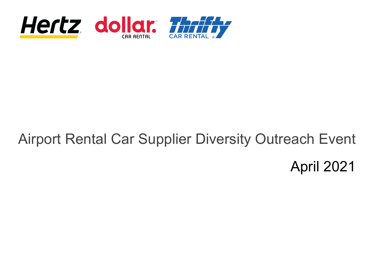

# Airport Rental Car Supplier Diversity Outreach Event April 2021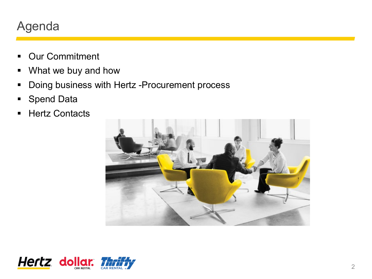### Agenda

- **-** Our Commitment
- What we buy and how
- **Doing business with Hertz -Procurement process**
- Spend Data
- **Hertz Contacts**



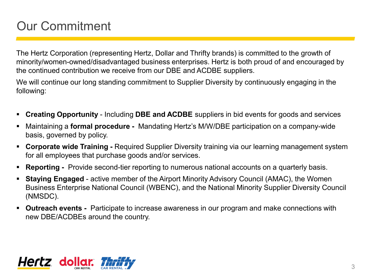## Our Commitment

The Hertz Corporation (representing Hertz, Dollar and Thrifty brands) is committed to the growth of minority/women-owned/disadvantaged business enterprises. Hertz is both proud of and encouraged by the continued contribution we receive from our DBE and ACDBE suppliers.

We will continue our long standing commitment to Supplier Diversity by continuously engaging in the following:

- **Creating Opportunity**  Including **DBE and ACDBE** suppliers in bid events for goods and services
- Maintaining a **formal procedure -** Mandating Hertz's M/W/DBE participation on a company-wide basis, governed by policy.
- **Corporate wide Training -** Required Supplier Diversity training via our learning management system for all employees that purchase goods and/or services.
- **Reporting -** Provide second-tier reporting to numerous national accounts on a quarterly basis.
- **Staying Engaged** active member of the Airport Minority Advisory Council (AMAC), the Women Business Enterprise National Council (WBENC), and the National Minority Supplier Diversity Council (NMSDC).
- **Outreach events -** Participate to increase awareness in our program and make connections with new DBE/ACDBEs around the country.

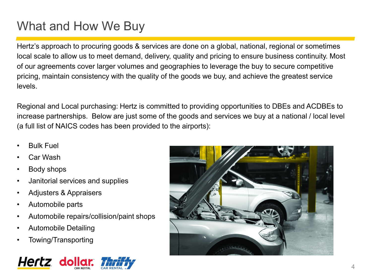## What and How We Buy

Hertz's approach to procuring goods & services are done on a global, national, regional or sometimes local scale to allow us to meet demand, delivery, quality and pricing to ensure business continuity. Most of our agreements cover larger volumes and geographies to leverage the buy to secure competitive pricing, maintain consistency with the quality of the goods we buy, and achieve the greatest service levels.

Regional and Local purchasing: Hertz is committed to providing opportunities to DBEs and ACDBEs to increase partnerships. Below are just some of the goods and services we buy at a national / local level (a full list of NAICS codes has been provided to the airports):

- **Bulk Fuel**
- Car Wash
- Body shops
- Janitorial services and supplies
- Adjusters & Appraisers
- Automobile parts
- Automobile repairs/collision/paint shops
- Automobile Detailing
- Towing/Transporting



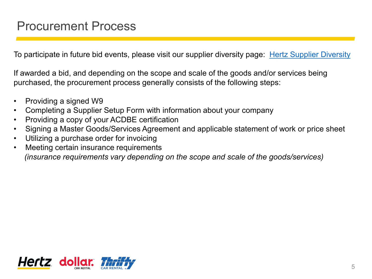To participate in future bid events, please visit our supplier diversity page: [Hertz Supplier Diversity](https://www.hertz.com/rentacar/misc/index.jsp?targetPage=suppliersite.jsp)

If awarded a bid, and depending on the scope and scale of the goods and/or services being purchased, the procurement process generally consists of the following steps:

- Providing a signed W9
- Completing a Supplier Setup Form with information about your company
- Providing a copy of your ACDBE certification
- Signing a Master Goods/Services Agreement and applicable statement of work or price sheet
- Utilizing a purchase order for invoicing
- Meeting certain insurance requirements *(insurance requirements vary depending on the scope and scale of the goods/services)*

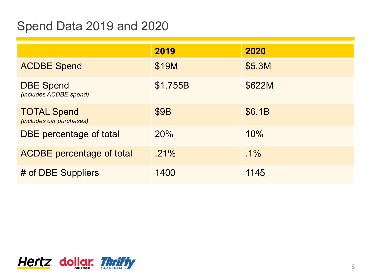### Spend Data 2019 and 2020

|                                                       | 2019        | 2020   |
|-------------------------------------------------------|-------------|--------|
| <b>ACDBE Spend</b>                                    | \$19M       | \$5.3M |
| <b>DBE Spend</b><br>(includes ACDBE spend)            | \$1.755B    | \$622M |
| <b>TOTAL Spend</b><br><i>(includes car purchases)</i> | <b>\$9B</b> | \$6.1B |
| DBE percentage of total                               | 20%         | 10%    |
| <b>ACDBE</b> percentage of total                      | $.21\%$     | $.1\%$ |
| # of DBE Suppliers                                    | 1400        | 1145   |